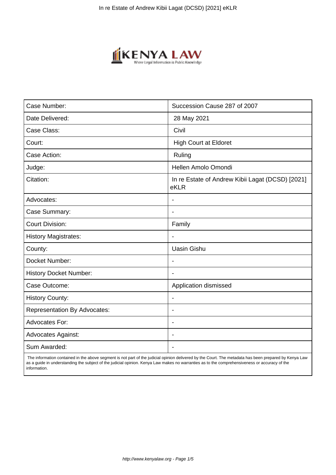

| Case Number:                        | Succession Cause 287 of 2007                             |
|-------------------------------------|----------------------------------------------------------|
| Date Delivered:                     | 28 May 2021                                              |
| Case Class:                         | Civil                                                    |
| Court:                              | <b>High Court at Eldoret</b>                             |
| Case Action:                        | Ruling                                                   |
| Judge:                              | Hellen Amolo Omondi                                      |
| Citation:                           | In re Estate of Andrew Kibii Lagat (DCSD) [2021]<br>eKLR |
| Advocates:                          |                                                          |
| Case Summary:                       | $\blacksquare$                                           |
| <b>Court Division:</b>              | Family                                                   |
| <b>History Magistrates:</b>         | $\blacksquare$                                           |
| County:                             | <b>Uasin Gishu</b>                                       |
| Docket Number:                      | $\overline{\phantom{a}}$                                 |
| <b>History Docket Number:</b>       |                                                          |
| Case Outcome:                       | Application dismissed                                    |
| <b>History County:</b>              | $\overline{\phantom{a}}$                                 |
| <b>Representation By Advocates:</b> | $\overline{\phantom{a}}$                                 |
| <b>Advocates For:</b>               | $\overline{\phantom{a}}$                                 |
| <b>Advocates Against:</b>           | $\blacksquare$                                           |
| Sum Awarded:                        |                                                          |

 The information contained in the above segment is not part of the judicial opinion delivered by the Court. The metadata has been prepared by Kenya Law as a guide in understanding the subject of the judicial opinion. Kenya Law makes no warranties as to the comprehensiveness or accuracy of the information.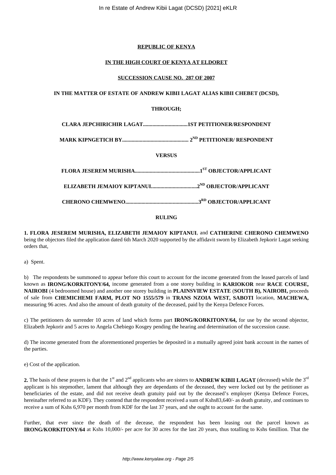# **REPUBLIC OF KENYA**

# **IN THE HIGH COURT OF KENYA AT ELDORET**

### **SUCCESSION CAUSE NO. 287 OF 2007**

# **IN THE MATTER OF ESTATE OF ANDREW KIBII LAGAT ALIAS KIBII CHEBET (DCSD),**

# **THROUGH;**

**CLARA JEPCHIRICHIR LAGAT.................................1ST PETITIONER/RESPONDENT**

**MARK KIPNGETICH BY................................................. 2ND PETITIONER/ RESPONDENT**

**VERSUS**

#### **RULING**

**1. FLORA JESEREM MURISHA, ELIZABETH JEMAIOY KIPTANUI**, and **CATHERINE CHERONO CHEMWENO** being the objectors filed the application dated 6th March 2020 supported by the affidavit sworn by Elizabeth Jepkorir Lagat seeking orders that,

a) Spent.

b) The respondents be summoned to appear before this court to account for the income generated from the leased parcels of land known as **IRONG/KORKITONY/64,** income generated from a one storey building in **KARIOKOR** near **RACE COURSE, NAIROBI** (4 bedroomed house) and another one storey building in **PLAINSVIEW ESTATE** (**SOUTH B), NAIROBI,** proceeds of sale from **CHEMICHEMI FARM, PLOT NO 1555/579** in **TRANS NZOIA WEST, SABOTI** location, **MACHEWA,** measuring 96 acres. And also the amount of death gratuity of the deceased, paid by the Kenya Defence Forces.

c) The petitioners do surrender 10 acres of land which forms part **IRONG/KORKITONY/64,** for use by the second objector, Elizabeth Jepkorir and 5 acres to Angela Chebiego Kosgey pending the hearing and determination of the succession cause.

d) The income generated from the aforementioned properties be deposited in a mutually agreed joint bank account in the names of the parties.

e) Cost of the application.

**2.** The basis of these prayers is that the 1<sup>st</sup> and  $2^{nd}$  applicants who are sisters to **ANDREW KIBII LAGAT** (deceased) while the  $3^{rd}$ applicant is his stepmother, lament that although they are dependants of the deceased, they were locked out by the petitioner as beneficiaries of the estate, and did not receive death gratuity paid out by the deceased's employer (Kenya Defence Forces, hereinafter referred to as KDF). They contend that the respondent received a sum of Kshs83,640/- as death gratuity, and continues to receive a sum of Kshs 6,970 per month from KDF for the last 37 years, and she ought to account for the same.

Further, that ever since the death of the decease, the respondent has been leasing out the parcel known as **IRONG/KORKITONY/64** at Kshs 10,000/- per acre for 30 acres for the last 20 years, thus totalling to Kshs 6million. That the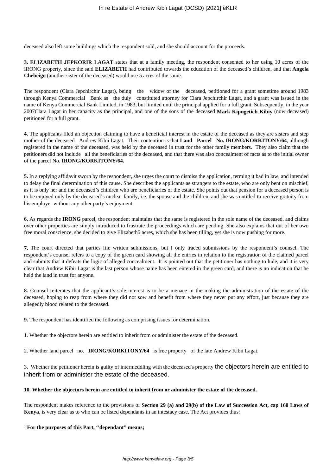deceased also left some buildings which the respondent sold, and she should account for the proceeds.

**3. ELIZABETH JEPKORIR LAGAT** states that at a family meeting, the respondent consented to her using 10 acres of the IRONG property, since the said **ELIZABETH** had contributed towards the education of the deceased's children, and that **Angela Chebeigo** (another sister of the deceased) would use 5 acres of the same.

The respondent (Clara Jepchirchir Lagat), being the widow of the deceased, petitioned for a grant sometime around 1983 through Kenya Commercial Bank as the duly constituted attorney for Clara Jepchirchir Lagat, and a grant was issued in the name of Kenya Commercial Bank Limited, in 1983, but limited until the principal applied for a full grant. Subsequently, in the year 2007Clara Lagat in her capacity as the principal, and one of the sons of the deceased **Mark Kipngetich Kibiy** (now deceased) petitioned for a full grant.

**4.** The applicants filed an objection claiming to have a beneficial interest in the estate of the deceased as they are sisters and step mother of the deceased Andrew Kibii Lagat. Their contention is that **Land Parcel No. IRONG/KORKITONY/64**, although registered in the name of the deceased, was held by the deceased in trust for the other family members. They also claim that the petitioners did not include all the beneficiaries of the deceased, and that there was also concealment of facts as to the initial owner of the parcel No. **IRONG/KORKITONY/64.**

**5.** In a replying affidavit sworn by the respondent, she urges the court to dismiss the application, terming it bad in law, and intended to delay the final determination of this cause. She describes the applicants as strangers to the estate, who are only bent on mischief, as it is only her and the deceased's children who are beneficiaries of the estate. She points out that pension for a deceased person is to be enjoyed only by the deceased's nuclear family, i.e. the spouse and the children, and she was entitled to receive gratuity from his employer without any other party's enjoyment.

**6.** As regards the **IRONG** parcel, the respondent maintains that the same is registered in the sole name of the deceased, and claims over other properties are simply introduced to frustrate the proceedings which are pending. She also explains that out of her own free moral conscience, she decided to give Elizabeth5 acres, which she has been tilling, yet she is now pushing for more.

**7.** The court directed that parties file written submissions, but I only traced submissions by the respondent's counsel. The respondent's counsel refers to a copy of the green card showing all the entries in relation to the registration of the claimed parcel and submits that it defeats the logic of alleged concealment. It is pointed out that the petitioner has nothing to hide, and it is very clear that Andrew Kibii Lagat is the last person whose name has been entered in the green card, and there is no indication that he held the land in trust for anyone.

**8.** Counsel reiterates that the applicant's sole interest is to be a menace in the making the administration of the estate of the deceased, hoping to reap from where they did not sow and benefit from where they never put any effort, just because they are allegedly blood related to the deceased.

**9.** The respondent has identified the following as comprising issues for determination.

1. Whether the objectors herein are entitled to inherit from or administer the estate of the deceased.

2. Whether land parcel no. **IRONG/KORKITONY/64** is free property of the late Andrew Kibii Lagat.

3. Whether the petitioner herein is guilty of intermeddling with the deceased's property the objectors herein are entitled to inherit from or administer the estate of the deceased.

#### **10. Whether the objectors herein are entitled to inherit from or administer the estate of the deceased.**

The respondent makes reference to the provisions of **Section 29 (a) and 29(b) of the Law of Succession Act, cap 160 Laws of Kenya**, is very clear as to who can be listed dependants in an intestacy case. The Act provides thus:

**"For the purposes of this Part, ''dependant" means;**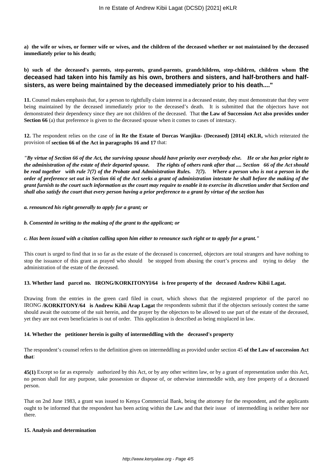**a) the wife or wives, or former wife or wives, and the children of the deceased whether or not maintained by the deceased immediately prior to his death;**

# **b) such of the deceased's parents, step-parents, grand-parents, grandchildren, step-children, children whom the deceased had taken into his family as his own, brothers and sisters, and half-brothers and halfsisters, as were being maintained by the deceased immediately prior to his death...."**

**11.** Counsel makes emphasis that, for a person to rightfully claim interest in a deceased estate, they must demonstrate that they were being maintained by the deceased immediately prior to the deceased's death. It is submitted that the objectors have not demonstrated their dependency since they are not children of the deceased. That **the Law of Succession Act also provides under Section 66** (a) that preference is given to the deceased spouse when it comes to cases of intestacy.

**12.** The respondent relies on the case of **in Re the Estate of Dorcas Wanjiku- (Deceased) [2014] eKLR,** which reiterated the provision of **section 66 of the Act in paragraphs 16 and 17** that:

*"By virtue of Section 66 of the Act, the surviving spouse should have priority over everybody else. He or she has prior right to the administration of the estate of their departed spouse. The rights of others rank after that .... Section 66 of the Act should be read together with rule 7(7) of the Probate and Administration Rules. 7(7). Where a person who is not a person in the order of preference set out in Section 66 of the Act seeks a grant of administration intestate he shall before the making of the grant furnish to the court such information as the court may require to enable it to exercise its discretion under that Section and shall also satisfy the court that every person having a prior preference to a grant by virtue of the section has* 

*a. renounced his right generally to apply for a grant; or*

#### *b. Consented in writing to the making of the grant to the applicant; or*

## *c. Has been issued with a citation calling upon him either to renounce such right or to apply for a grant."*

This court is urged to find that in so far as the estate of the deceased is concerned, objectors are total strangers and have nothing to stop the issuance of this grant as prayed who should be stopped from abusing the court's process and trying to delay the administration of the estate of the deceased.

### **13. Whether land parcel no. IRONG/KORKITONYl/64 is free property of the deceased Andrew Kibii Lagat.**

Drawing from the entries in the green card filed in court, which shows that the registered proprietor of the parcel no IRONG **/KORKITONY/64 is Andrew Kibii Arap Lagat** the respondents submit that if the objectors seriously contest the same should await the outcome of the suit herein, and the prayer by the objectors to be allowed to use part of the estate of the deceased, yet they are not even beneficiaries is out of order. This application is described as being misplaced in law.

### **14. Whether the petitioner herein is guilty of intermeddling with the deceased's property**

The respondent's counsel refers to the definition given on intermeddling as provided under section 45 **of the Law of succession Act that**:

**45(1)** Except so far as expressly authorized by this Act, or by any other written law, or by a grant of representation under this Act, no person shall for any purpose, take possession or dispose of, or otherwise intermeddle with, any free property of a deceased person.

That on 2nd June 1983, a grant was issued to Kenya Commercial Bank, being the attorney for the respondent, and the applicants ought to be informed that the respondent has been acting within the Law and that their issue of intermeddling is neither here nor there.

#### **15. Analysis and determination**